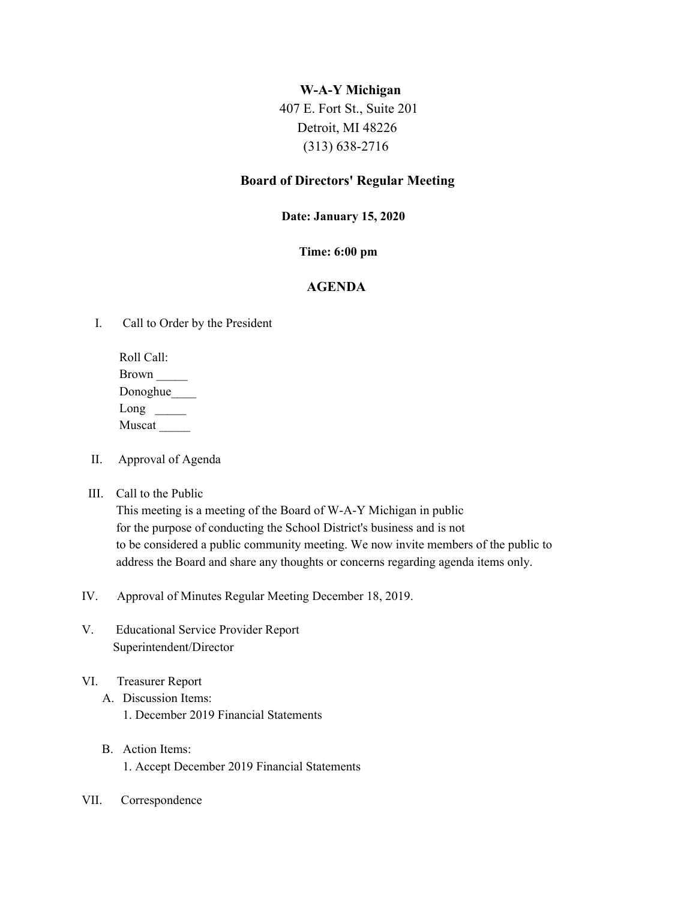### **W-A-Y Michigan**

 407 E. Fort St., Suite 201 Detroit, MI 48226 (313) 638-2716

# **Board of Directors' Regular Meeting**

#### **Date: January 15, 2020**

### **Time: 6:00 pm**

# **AGENDA**

I. Call to Order by the President

Roll Call: Brown \_\_\_\_\_ Donoghue\_\_\_\_\_\_ Long  $\Box$ Muscat \_\_\_\_\_

- II. Approval of Agenda
- III. Call to the Public

This meeting is a meeting of the Board of W-A-Y Michigan in public for the purpose of conducting the School District's business and is not to be considered a public community meeting. We now invite members of the public to address the Board and share any thoughts or concerns regarding agenda items only.

- IV. Approval of Minutes Regular Meeting December 18, 2019.
- V. Educational Service Provider Report Superintendent/Director
- VI. Treasurer Report
	- A. Discussion Items: 1. December 2019 Financial Statements
	- B. Action Items: 1. Accept December 2019 Financial Statements
- VII. Correspondence